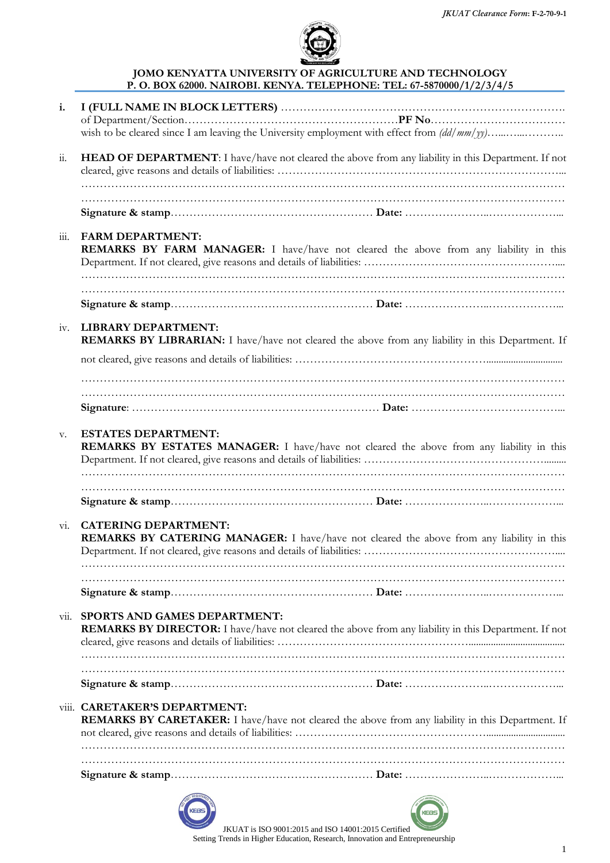

#### JOMO KENYATTA UNIVERSITY OF AGRICULTURE AND TECHNOLOGY P. O. BOX 62000. NAIROBI. KENYA. TELEPHONE: TEL: 67-5870000/1/2/3/4/5

| i.                                     |                                                                                                                                      |
|----------------------------------------|--------------------------------------------------------------------------------------------------------------------------------------|
|                                        |                                                                                                                                      |
|                                        |                                                                                                                                      |
| $\dddot{11}$ .                         | HEAD OF DEPARTMENT: I have/have not cleared the above from any liability in this Department. If not                                  |
|                                        |                                                                                                                                      |
|                                        |                                                                                                                                      |
|                                        |                                                                                                                                      |
| $\dddot{\mathbf{m}}$ .                 | <b>FARM DEPARTMENT:</b><br>REMARKS BY FARM MANAGER: I have/have not cleared the above from any liability in this                     |
|                                        |                                                                                                                                      |
|                                        |                                                                                                                                      |
|                                        |                                                                                                                                      |
| iv.                                    | <b>LIBRARY DEPARTMENT:</b><br>REMARKS BY LIBRARIAN: I have/have not cleared the above from any liability in this Department. If      |
|                                        |                                                                                                                                      |
|                                        |                                                                                                                                      |
|                                        |                                                                                                                                      |
|                                        |                                                                                                                                      |
| V.                                     | <b>ESTATES DEPARTMENT:</b><br><b>REMARKS BY ESTATES MANAGER:</b> I have/have not cleared the above from any liability in this        |
| $\overline{\mathrm{v}}$ <sub>1</sub> . | <b>CATERING DEPARTMENT:</b><br><b>REMARKS BY CATERING MANAGER:</b> I have/have not cleared the above from any liability in this      |
|                                        |                                                                                                                                      |
|                                        |                                                                                                                                      |
|                                        |                                                                                                                                      |
| $\overline{\mathrm{vii}}$ .            | SPORTS AND GAMES DEPARTMENT:<br>REMARKS BY DIRECTOR: I have/have not cleared the above from any liability in this Department. If not |
|                                        |                                                                                                                                      |
|                                        |                                                                                                                                      |
|                                        |                                                                                                                                      |
|                                        | viii. CARETAKER'S DEPARTMENT:<br>REMARKS BY CARETAKER: I have/have not cleared the above from any liability in this Department. If   |
|                                        |                                                                                                                                      |
|                                        |                                                                                                                                      |
|                                        |                                                                                                                                      |





 JKUAT is ISO 9001:2015 and ISO 14001:2015 Certified Setting Trends in Higher Education, Research, Innovation and Entrepreneurship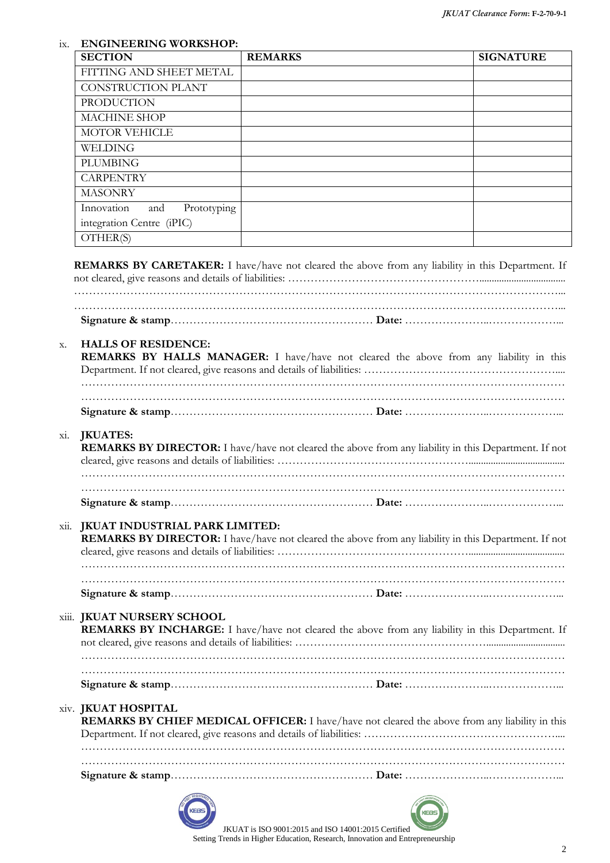#### ix. ENGINEERING WORKSHOP:

| <b>SECTION</b>                   | <b>REMARKS</b> | <b>SIGNATURE</b> |
|----------------------------------|----------------|------------------|
| FITTING AND SHEET METAL          |                |                  |
| CONSTRUCTION PLANT               |                |                  |
| <b>PRODUCTION</b>                |                |                  |
| <b>MACHINE SHOP</b>              |                |                  |
| <b>MOTOR VEHICLE</b>             |                |                  |
| WELDING                          |                |                  |
| <b>PLUMBING</b>                  |                |                  |
| <b>CARPENTRY</b>                 |                |                  |
| <b>MASONRY</b>                   |                |                  |
| Prototyping<br>Innovation<br>and |                |                  |
| integration Centre (iPIC)        |                |                  |
| OTHER(S)                         |                |                  |

REMARKS BY CARETAKER: I have/have not cleared the above from any liability in this Department. If not cleared, give reasons and details of liabilities: ……………………………………………................................... …………………………………………………………………………………………………………………... …………………………………………………………………………………………………………………...

Signature & stamp……………………………………………… Date: …………………..………………...

#### x. HALLS OF RESIDENCE:

| REMARKS BY HALLS MANAGER: I have/have not cleared the above from any liability in this |  |  |  |  |  |  |  |
|----------------------------------------------------------------------------------------|--|--|--|--|--|--|--|

### xi. JKUATES:

| REMARKS BY DIRECTOR: I have/have not cleared the above from any liability in this Department. If not |  |
|------------------------------------------------------------------------------------------------------|--|

#### xii. JKUAT INDUSTRIAL PARK LIMITED:

| <b>REMARKS BY DIRECTOR:</b> I have/have not cleared the above from any liability in this Department. If not |  |
|-------------------------------------------------------------------------------------------------------------|--|

#### xiii. JKUAT NURSERY SCHOOL

| REMARKS BY INCHARGE: I have/have not cleared the above from any liability in this Department. If |  |
|--------------------------------------------------------------------------------------------------|--|

#### xiv. JKUAT HOSPITAL

| REMARKS BY CHIEF MEDICAL OFFICER: I have/have not cleared the above from any liability in this |
|------------------------------------------------------------------------------------------------|
|                                                                                                |
|                                                                                                |
|                                                                                                |

Signature & stamp……………………………………………… Date: …………………..………………...





 JKUAT is ISO 9001:2015 and ISO 14001:2015 Certified Setting Trends in Higher Education, Research, Innovation and Entrepreneurship